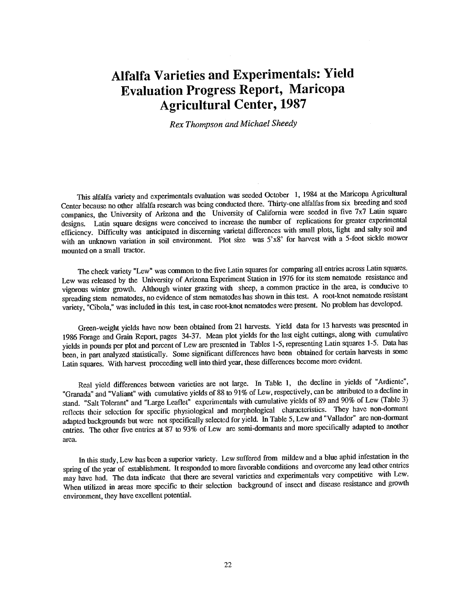## Alfalfa Varieties and Experimentals: Yield Evaluation Progress Report, Maricopa Agricultural Center, 1987

Rex Thompson and Michael Sheedy

This alfalfa variety and experimentals evaluation was seeded October 1, <sup>1984</sup> at the Maricopa Agricultural Center because no other alfalfa research was being conducted there. Thirty -one alfalfas from six breeding and seed companies, the University of Arizona and the University of California were seeded in five 7x7 Latin square designs. Latin square designs were conceived to increase the number of replications for greater experimental efficiency. Difficulty was anticipated in discerning varietal differences with small plots, light and salty soil and with an unknown variation in soil environment. Plot size was 5'x8' for harvest with a 5-foot sickle mower mounted on a small tractor.

The check variety "Lew" was common to the five Latin squares for comparing all entries across Latin squares. Lew was released by the University of Arizona Experiment Station in <sup>1976</sup> for its stem nematode resistance and vigorous winter growth. Although winter grazing with sheep, a common practice in the area, is conducive to spreading stem nematodes, no evidence of stem nematodes has shown in this test. A root-knot nematode resistant variety, "Cibola," was included in this test, in case root -knot nematodes were present. No problem has developed.

Green -weight yields have now been obtained from 21 harvests. Yield data for 13 harvests was presented in <sup>1986</sup> Forage and Grain Report, pages 34 -37. Mean plot yields for the last eight cuttings, along with cumulative yields in pounds per plot and percent of Lew are presented in Tables 1 -5, representing Latin squares 1 -5. Data has been, in part analyzed statistically. Some significant differences have been obtained for certain harvests in some Latin squares. With harvest proceeding well into third year, these differences become more evident.

Real yield differences between varieties are not large. In Table 1, the decline in yields of "Ardiente", "Granada" and "Valiant" with cumulative yields of <sup>88</sup> to 91% of Lew, respectively, can be attributed to a decline in stand. "Salt Tolerant" and "Large Leaflet" experimentals with cumulative yields of <sup>89</sup> and 90% of Lew (Table 3) reflects their selection for specific physiological and morphological characteristics. They have non -dormant adapted backgrounds but were not specifically selected for yield. InTable 5, Lew and "Vallador" are non -dormant entries. The other five entries at 87 to 93% of Lew are semi -dormants and more specifically adapted to another area.

In this study, Lew has been a superior variety. Lew suffered from mildew and a blue aphid infestation in the spring of the year of establishment. It responded to more favorable conditions and overcome any lead other entries may have had. The data indicate that there are several varieties and experimentals very competitive with Lew. When utilized in areas more specific to their selection background of insect and disease resistance and growth environment, they have excellent potential.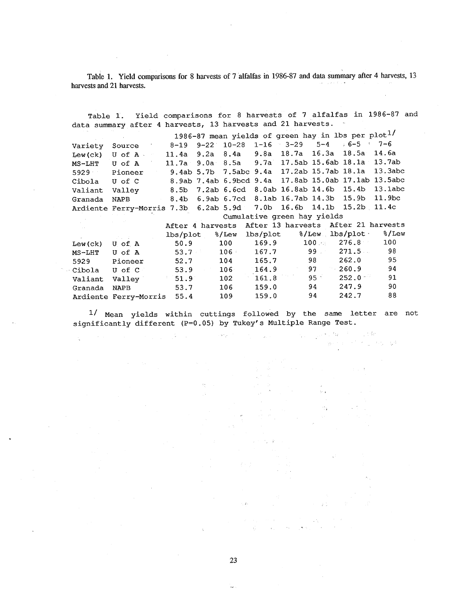Table 1. Yield comparisons for 8 harvests of 7 alfalfas in 1986 -87 and data summary after 4 harvests, 13 harvests and 21 harvests.

Table 1. Yield comparisons for 8 harvests of 7 alfalfas in 1986-87 and data summary after 4 harvests, 13 harvests and 21 harvests. 1986-87 mean yields of green hay in lbs per plot<sup>1/</sup><br>:-19 9-22 10-28 1-16 3-29 5-4 : 6-5 : 7-6 Variety Source 8-19 9-22 10-28 1-16<br>Tew(ck) U of A : 11.4a 9.2a 8.4a 9.8a Lew(ck) U of A - 11.4a 9.2a 8.4a 9.8a 18.7a 16.3a 18.5a 14.6a<br>MS-LHT U of A - 11.7a 9.0a 8.5a 9.7a 17.5ab 15.6ab 18.1a 13.7ab MS -LHT U of A 11.7a 9.Oa 8.5a 9.7a 17.5aó 15.6aó 18.1a 13.7aó 5929 Pioneer 9.4ab 5.7b 7.5abc 9.4a 17.2ab 15.7aó 18.1a 13.3abc Cibola U of C 8.9aó 7.4ab 6.9bcd 9.4a 17.8ab 15.0ab 17.1ab 13.5abc Valiant Valley 8.5b 7.2ab 6.6cd 8.0ab 16.8ab 14.6b 15.4b 13.1abe<br>Granada NAPB 8.4b 6.9ab 6.7cd 8.1ab 16.7ab 14.3b 15.9b 11.9bc Granada NAPB 8.4b 6.9ab 6.7cd 8.1ab 16.7ab 14.3b 15.9b 11.9bo<br>Ardiente Ferry-Morris 7.3b 6.2ab 5.9d 7.0b 16.6b 14.1b 15.2b 11.4c Ardiente Ferry-Morris 7.3b 6.2ab 5.9d Cumulative green hay yields After 4 harvests After 13 harvests After 21 harvests<br>lbs/plot 3/Lew lbs/plot 3/Lew lbs/plot 3/Lew lbs/plot %/Lew lbs/plot %/Lew lbs/plot %/Lew 159.9 100 % 276.8 100 Lew(ck) U of A 50.9 100 169.9 100. 276.8 100 MS-LHT U of A 53.7 106 167.7 99 271.5 98 5929 Pioneer 52.7 104 165.7 98 262.0 95 Cibola U of C 53.9 106 164.9 97 260.9 94 Valiant Valley  $-$  51.9 102 161.8 95 252.0 91 Granada NAPB 53.7 106 159.0 94 247.9 90 Ardiente Ferry-Morris 55.4 109 159.0 94 242.7 88

1/ Mean yields within cuttings followed by the same letter are not significantly different (P=0.05) by Tukey's Multiple Range Test.

(1) 1548 -15  $\tilde{g} \neq \tilde{g}_0$ 

 $\tau,\tau_c\equiv\sqrt{3}$ 

23

 $\sim$   $\pm$ 

 $\sqrt{2}$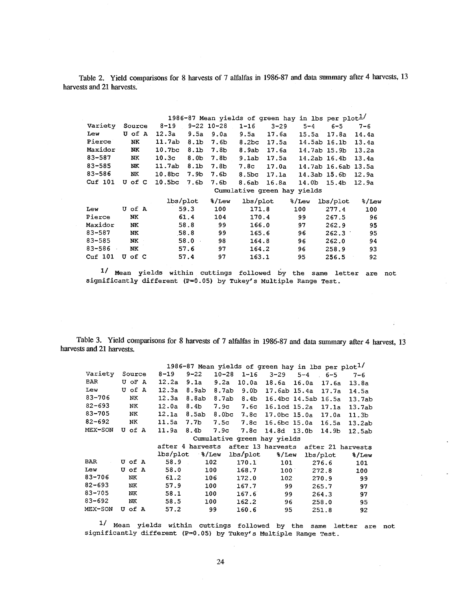Table 2. Yield comparisons for 8 harvests of 7 alfalfas in 1986-87 and data summary after 4 harvests, 13 harvests and 21 harvests.

| 1986-87 Mean yields of green hay in lbs per plot $\frac{1}{2}$ |        |                                        |                  |                            |              |                     |         |  |  |  |  |
|----------------------------------------------------------------|--------|----------------------------------------|------------------|----------------------------|--------------|---------------------|---------|--|--|--|--|
| Variety                                                        | Source | $8 - 19$                               | 9-22 10-28       | $1 - 16$<br>$3 - 29$       | $5 - 4$      | 6-5                 | $7 - 6$ |  |  |  |  |
| Lew                                                            | U of A | 12.3a                                  | $9.5a$ $9.0a$    | 9.5a<br>17.6a              | 15.5a        | 17.8a               | 14.4a   |  |  |  |  |
| Pierce                                                         | NK.    | 11.7ab<br>8.1 <sub>b</sub>             | 7.6b             | 8.2 <sub>bc</sub><br>17.5a | 14.5ab 16.1b |                     | 13.4a   |  |  |  |  |
| Maxidor                                                        | NK     | 10.7 <sub>bc</sub>                     | $8.1b$ $7.8b$    | 8.9ab<br>17.6a             | 14.7ab 15.9b |                     | 13.2a   |  |  |  |  |
| 83-587                                                         | NK.    | 10.3c                                  | $8.0b$ 7.8b      | 9.1ab<br>17.5a             | 14.2ab 16.4b |                     | 13.4a   |  |  |  |  |
| $83 - 585$                                                     | NK     | 11.7ab<br>8.1 <sub>b</sub>             | 7.8 <sub>b</sub> | 7.8c<br>17.0a              |              | 14.7ab 16.6ab 13.5a |         |  |  |  |  |
| 83-586                                                         | NK     | 10.8 <sub>bc</sub><br>7.9 <sub>b</sub> | 7.6b             | 8.5bc 17.1a 14.3ab 15.6b   |              |                     | 12.9a   |  |  |  |  |
| Cuf 101                                                        | U of C | 10.5 <sub>bc</sub><br>7.6b             | 7.6b             | 8.6ab 16.8a 14.0b 15.4b    |              |                     | 12.9a   |  |  |  |  |
|                                                                |        | Cumulative green hay yields            |                  |                            |              |                     |         |  |  |  |  |
|                                                                |        | lbs/plot                               | %/Lew            |                            |              |                     | %/Lew   |  |  |  |  |
| Lew                                                            | U of A | 59.3                                   | 100              | 171.8                      | 100          | 277.4               | 100     |  |  |  |  |
| Pierce                                                         | NK.    | 61.4                                   | 104              | 170.4                      | 99           | 267.5               | 96      |  |  |  |  |
| Maxidor                                                        | NK.    | 58.8                                   | 99               | 166.0                      | 97           | 262.9               | 95      |  |  |  |  |
| 83-587                                                         | NK.    | 58.8                                   | 99               | 165.6                      | 96           | 262.3               | 95      |  |  |  |  |
| $83 - 585$                                                     | NK.    | 58.0                                   | 98               | 164.8                      | 96           | 262.0               | 94      |  |  |  |  |
| 83-586                                                         | NK     | 57.6                                   | 97               | 164.2                      | 96           | 258.9               | 93      |  |  |  |  |
| Cut 101                                                        | U of C | 57.4                                   | 97               | 163.1                      | 95           | 256.5               | 92      |  |  |  |  |

1/ Mean yields within cuttings followed by the same letter are not significantly different (P=0.05) by Tukey's Multiple Range Test.

Table 3. Yield comparisons for 8 harvests of 7 alfalfas in 1986 -87 and data summary after 4 harvest, 13 harvests and 21 harvests.

|                     |                |        |                       |             |                                                                                                                                                                                                                                 |            | 1986-87 Mean yields of green hay in lbs per $plot^{1/}$ |                 |       |                                                      |
|---------------------|----------------|--------|-----------------------|-------------|---------------------------------------------------------------------------------------------------------------------------------------------------------------------------------------------------------------------------------|------------|---------------------------------------------------------|-----------------|-------|------------------------------------------------------|
| Variety Source 8-19 |                |        |                       | $9 - 22$    |                                                                                                                                                                                                                                 |            | $10-28$ 1-16 3-29 5-4 6-5                               |                 |       | $7 - 6$                                              |
| BAR                 |                |        | $U$ of A $12.2a$ 9.1a |             |                                                                                                                                                                                                                                 | 9.2a 10.0a |                                                         |                 |       | 18.6a 16.0a 17.6a 13.8a                              |
| Lew                 |                |        | U of A 12.3a 8.9ab    |             |                                                                                                                                                                                                                                 | 8.7ab 9.0b |                                                         |                 |       | 17.6ab 15.4a 17.7a 14.5a                             |
| $83 - 706$          |                | NK     |                       | 12.3a 8.8ab |                                                                                                                                                                                                                                 |            |                                                         |                 |       | 8.7ab 8.4b 16.4bc 14.5ab 16.5a 13.7ab                |
| $82 - 693$          |                | NK.    |                       |             |                                                                                                                                                                                                                                 |            |                                                         |                 |       | 12.0a 8.4b 7.9c 7.6c 16.1cd 15.2a 17.1a 13.7ab       |
| 83-705              |                | NK     |                       |             |                                                                                                                                                                                                                                 |            |                                                         |                 |       | 12.1a 8.5ab 8.0bc 7.8c 17.0bc 15.0a 17.0a 11.3b      |
| 82-692 NK           |                |        |                       |             |                                                                                                                                                                                                                                 |            |                                                         |                 |       | 11.5a 7.7b 7.5c 7.8c 16.6bc 15.0a 16.5a 13.2ab       |
| MEX-SON U of A      |                |        |                       |             |                                                                                                                                                                                                                                 |            |                                                         |                 |       | 11.9a 8.4b 7.9c 7.8c 14.8d 13.0b 14.9b 12.5ab        |
|                     |                |        |                       |             |                                                                                                                                                                                                                                 |            | Cumulative green hay yields                             |                 |       |                                                      |
|                     |                |        |                       |             |                                                                                                                                                                                                                                 |            |                                                         |                 |       | after 4 harvests after 13 harvests after 21 harvests |
|                     |                |        |                       |             |                                                                                                                                                                                                                                 |            | lbs/plot %/Lew lbs/plot %/Lew lbs/plot                  |                 |       | %/Lew                                                |
| BAR                 |                | U of A | 58.9                  |             | 102                                                                                                                                                                                                                             | 170.1      |                                                         |                 | 276.6 | 101                                                  |
| Lew                 |                | U of A | 58.0                  |             | 100 - 100 - 100 - 100 - 100 - 100 - 100 - 110 - 110 - 110 - 110 - 110 - 110 - 110 - 110 - 110 - 110 - 110 - 110 - 110 - 110 - 110 - 110 - 110 - 110 - 110 - 1110 - 1110 - 1110 - 1110 - 1110 - 1110 - 1110 - 1110 - 1110 - 1110 | 168.7      |                                                         | $100$ and $100$ | 272.8 | 100                                                  |
| 83-706              |                | NK     | 61.2                  |             | 106                                                                                                                                                                                                                             | 172.0      |                                                         | 102             | 270.9 | 99                                                   |
| $82 - 693$          |                | NK     | 57.9                  |             | 100                                                                                                                                                                                                                             | 167.7      | 99                                                      |                 | 265.7 | 97                                                   |
| 83-705              |                | NK     | 58.1                  |             | 100                                                                                                                                                                                                                             | 167.6      |                                                         | 99              | 264.3 | 97                                                   |
| 83-692              | N <sub>K</sub> |        | 58.5                  |             | 100                                                                                                                                                                                                                             | 162.2      | 96                                                      |                 | 258.0 | 95                                                   |
| MEX-SON             | U of A         |        | 57.2                  |             | 99                                                                                                                                                                                                                              | 160.6      | 95                                                      |                 | 251.8 | 92                                                   |

1/ Mean yields within cuttings followed by the same letter are not significantly different (P=0.05) by Tukey's Multiple Range Test.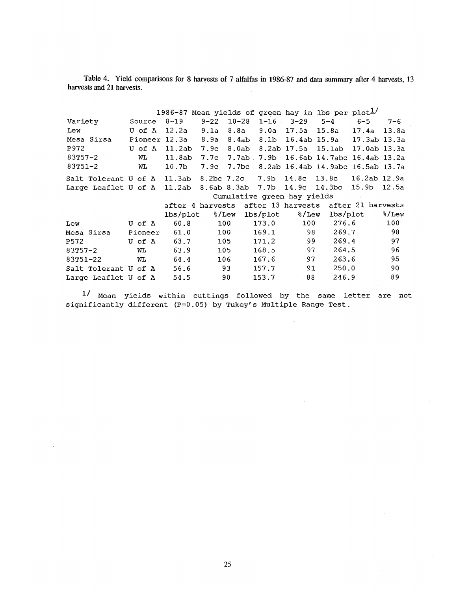Table 4. Yield comparisons for 8 harvests of 7 alfalfas in 1986 -87 and data summary after 4 harvests, 13 harvests and 21 harvests.

|                                                                       |              | 1986-87 Mean yields of green hay in lbs per plot $\frac{1}{2}$ |           |                                                                                                                                                                                                                                 |       |     |                                       |                                                      |         |
|-----------------------------------------------------------------------|--------------|----------------------------------------------------------------|-----------|---------------------------------------------------------------------------------------------------------------------------------------------------------------------------------------------------------------------------------|-------|-----|---------------------------------------|------------------------------------------------------|---------|
| Variety                                                               | Source 8-19  |                                                                |           |                                                                                                                                                                                                                                 |       |     |                                       |                                                      | $7 - 6$ |
| Lew                                                                   | U of A 12.2a |                                                                | 9.1a 8.8a |                                                                                                                                                                                                                                 |       |     | 9.0a 17.5a 15.8a 17.4a 13.8a          |                                                      |         |
| Mesa Sirsa                                                            |              | Pioneer 12.3a 8.9a 8.4ab 8.1b 16.4ab 15.9a 17.3ab 13.3a        |           |                                                                                                                                                                                                                                 |       |     |                                       |                                                      |         |
| P972                                                                  |              | U of A 11.2ab                                                  | 7.9c      |                                                                                                                                                                                                                                 |       |     | 8.0ab 8.2ab 17.5a 15.1ab 17.0ab 13.3a |                                                      |         |
| 83T57-2                                                               | <b>MT</b>    | 11.8ab 7.7c 7.7ab 7.9b 16.6ab 14.7abc 16.4ab 13.2a             |           |                                                                                                                                                                                                                                 |       |     |                                       |                                                      |         |
| $83T51 - 2$                                                           | WL           | 10.7b 7.9c 7.7bc 8.2ab 16.4ab 14.9abc 16.5ab 13.7a             |           |                                                                                                                                                                                                                                 |       |     |                                       |                                                      |         |
| Salt Tolerant U of A 11.3ab 8.2bc 7.2c 7.9b 14.8c 13.8c 16.2ab 12.9a  |              |                                                                |           |                                                                                                                                                                                                                                 |       |     |                                       |                                                      |         |
| Large Leaflet U of A 11.2ab 8.6ab 8.3ab 7.7b 14.9c 14.3bc 15.9b 12.5a |              |                                                                |           |                                                                                                                                                                                                                                 |       |     |                                       |                                                      |         |
|                                                                       |              | Cumulative green hay yields                                    |           |                                                                                                                                                                                                                                 |       |     |                                       |                                                      |         |
|                                                                       |              |                                                                |           |                                                                                                                                                                                                                                 |       |     |                                       | after 4 harvests after 13 harvests after 21 harvests |         |
|                                                                       |              | lbs/plot                                                       |           |                                                                                                                                                                                                                                 |       |     |                                       |                                                      | 8/Lew   |
| Lew                                                                   | U of A       | 60.8                                                           | 100 -     |                                                                                                                                                                                                                                 | 173.0 | 100 |                                       | 276.6                                                | 100     |
| Mesa Sirsa                                                            | Pioneer      | 61.0                                                           |           | 100 - 100 - 100 - 100 - 100 - 100 - 100 - 100 - 100 - 100 - 100 - 100 - 100 - 100 - 100 - 100 - 100 - 100 - 100 - 100 - 100 - 100 - 100 - 100 - 100 - 100 - 100 - 100 - 100 - 100 - 100 - 100 - 100 - 100 - 100 - 100 - 100 - 1 | 169.1 | 98  |                                       | 269.7                                                | 98      |
| P572                                                                  | U of A       | 63.7                                                           |           | 105                                                                                                                                                                                                                             | 171.2 | 99  |                                       | 269.4                                                | 97      |
| $83T57 - 2$                                                           | <b>WL</b>    | 63.9                                                           | 105       |                                                                                                                                                                                                                                 | 168.5 | 97  |                                       | 264.5                                                | 96      |
| 83T51-22                                                              | <b>WL</b>    | 64.4                                                           | 106       |                                                                                                                                                                                                                                 | 167.6 | 97  |                                       | 263.6                                                | 95      |
| Salt Tolerant U of A 56.6                                             |              |                                                                | 93        |                                                                                                                                                                                                                                 | 157.7 | 91  | 250.0                                 |                                                      | 90      |
| Large Leaflet U of A                                                  |              | 54.5                                                           | 90        |                                                                                                                                                                                                                                 | 153.7 | 88  | 246.9                                 |                                                      | 89      |

1/ Mean yields within cuttings followed by the same letter are not significantly different (P=0.05) by Tukey's Multiple Range Test.

 $\ddot{\phantom{1}}$